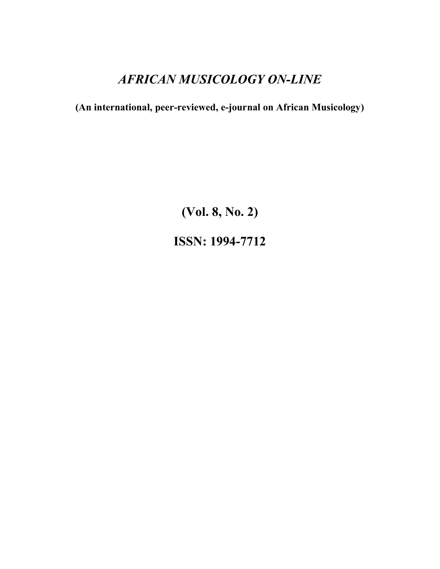# *AFRICAN MUSICOLOGY ON-LINE*

**(An international, peer-reviewed, e-journal on African Musicology)**

**(Vol. 8, No. 2) ISSN: 1994-7712**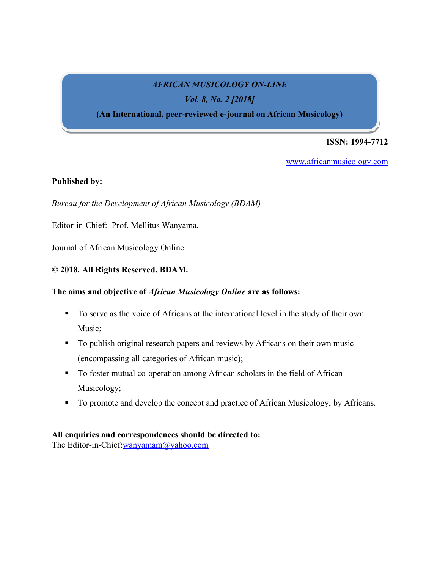## *AFRICAN MUSICOLOGY ON-LINE*

*Vol. 8, No. 2 [2018]*

**(An International, peer-reviewed e-journal on African Musicology)**

### **ISSN: 1994-7712**

www.africanmusicology.com

#### **Published by:**

*Bureau for the Development of African Musicology (BDAM)* 

Editor-in-Chief: Prof. Mellitus Wanyama,

Journal of African Musicology Online

#### **© 2018. All Rights Reserved. BDAM.**

#### **The aims and objective of** *African Musicology Online* **are as follows:**

- To serve as the voice of Africans at the international level in the study of their own Music;
- To publish original research papers and reviews by Africans on their own music (encompassing all categories of African music);
- To foster mutual co-operation among African scholars in the field of African Musicology;
- To promote and develop the concept and practice of African Musicology, by Africans.

#### **All enquiries and correspondences should be directed to:**

The Editor-in-Chief:wanyamam@yahoo.com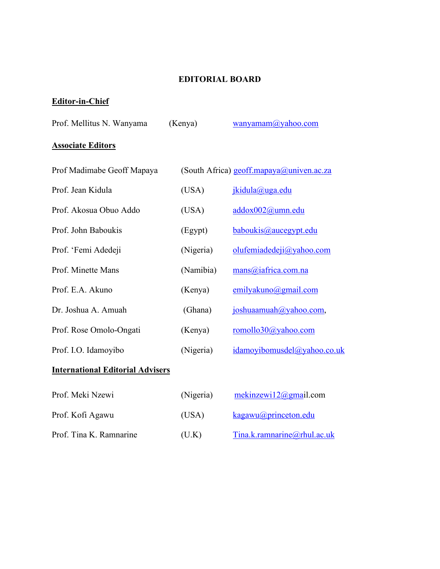## **EDITORIAL BOARD**

# **Editor-in-Chief**

| Prof. Mellitus N. Wanyama  | (Kenya)   | wanyamam@yahoo.com                       |
|----------------------------|-----------|------------------------------------------|
| <u>Associate Editors</u>   |           |                                          |
| Prof Madimabe Geoff Mapaya |           | (South Africa) geoff.mapaya@univen.ac.za |
| Prof. Jean Kidula          | (USA)     | <u>jkidula@uga.edu</u>                   |
| Prof. Akosua Obuo Addo     | (USA)     | addox002@umn.edu                         |
| Prof. John Baboukis        | (Egypt)   | baboukis@aucegypt.edu                    |
| Prof. 'Femi Adedeji        | (Nigeria) | olufemiadedeji@yahoo.com                 |
| Prof. Minette Mans         | (Namibia) | mans@iafrica.com.na                      |
| Prof. E.A. Akuno           | (Kenya)   | emilyakuno@gmail.com                     |
| Dr. Joshua A. Amuah        | (Ghana)   | joshuaamuah@yahoo.com,                   |
| Prof. Rose Omolo-Ongati    | (Kenya)   | $romollo30(a)$ yahoo.com                 |
| Prof. I.O. Idamoyibo       | (Nigeria) | idamoyibomusdel@yahoo.co.uk              |
|                            |           |                                          |

# **International Editorial Advisers**

| Prof. Meki Nzewi        | (Nigeria) | mekinzewi12@gmail.com         |
|-------------------------|-----------|-------------------------------|
| Prof. Kofi Agawu        | (USA)     | $k$ agawu $(a)$ princeton.edu |
| Prof. Tina K. Ramnarine | (U.K)     | Tina.k.ramnarine@rhul.ac.uk   |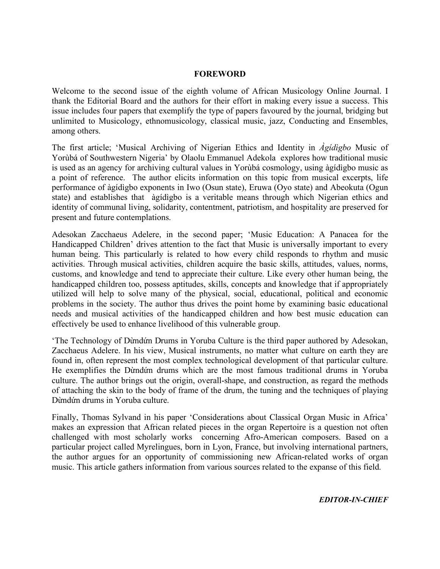#### **FOREWORD**

Welcome to the second issue of the eighth volume of African Musicology Online Journal. I thank the Editorial Board and the authors for their effort in making every issue a success. This issue includes four papers that exemplify the type of papers favoured by the journal, bridging but unlimited to Musicology, ethnomusicology, classical music, jazz, Conducting and Ensembles, among others.

The first article; 'Musical Archiving of Nigerian Ethics and Identity in *Àgídìgbo* Music of Yorùbá of Southwestern Nigeria' by Olaolu Emmanuel Adekola explores how traditional music is used as an agency for archiving cultural values in Yorùbá cosmology, using àgídìgbo music as a point of reference. The author elicits information on this topic from musical excerpts, life performance of àgídìgbo exponents in Iwo (Osun state), Eruwa (Oyo state) and Abeokuta (Ogun state) and establishes that àgídìgbo is a veritable means through which Nigerian ethics and identity of communal living, solidarity, contentment, patriotism, and hospitality are preserved for present and future contemplations.

Adesokan Zacchaeus Adelere, in the second paper; 'Music Education: A Panacea for the Handicapped Children' drives attention to the fact that Music is universally important to every human being. This particularly is related to how every child responds to rhythm and music activities. Through musical activities, children acquire the basic skills, attitudes, values, norms, customs, and knowledge and tend to appreciate their culture. Like every other human being, the handicapped children too, possess aptitudes, skills, concepts and knowledge that if appropriately utilized will help to solve many of the physical, social, educational, political and economic problems in the society. The author thus drives the point home by examining basic educational needs and musical activities of the handicapped children and how best music education can effectively be used to enhance livelihood of this vulnerable group.

'The Technology of Dừndứn Drums in Yoruba Culture is the third paper authored by Adesokan, Zacchaeus Adelere. In his view, Musical instruments, no matter what culture on earth they are found in, often represent the most complex technological development of that particular culture. He exemplifies the Dừndứn drums which are the most famous traditional drums in Yoruba culture. The author brings out the origin, overall-shape, and construction, as regard the methods of attaching the skin to the body of frame of the drum, the tuning and the techniques of playing Dừndứn drums in Yoruba culture.

Finally, Thomas Sylvand in his paper 'Considerations about Classical Organ Music in Africa' makes an expression that African related pieces in the organ Repertoire is a question not often challenged with most scholarly works concerning Afro-American composers. Based on a particular project called Myrelingues, born in Lyon, France, but involving international partners, the author argues for an opportunity of commissioning new African-related works of organ music. This article gathers information from various sources related to the expanse of this field.

*EDITOR-IN-CHIEF*